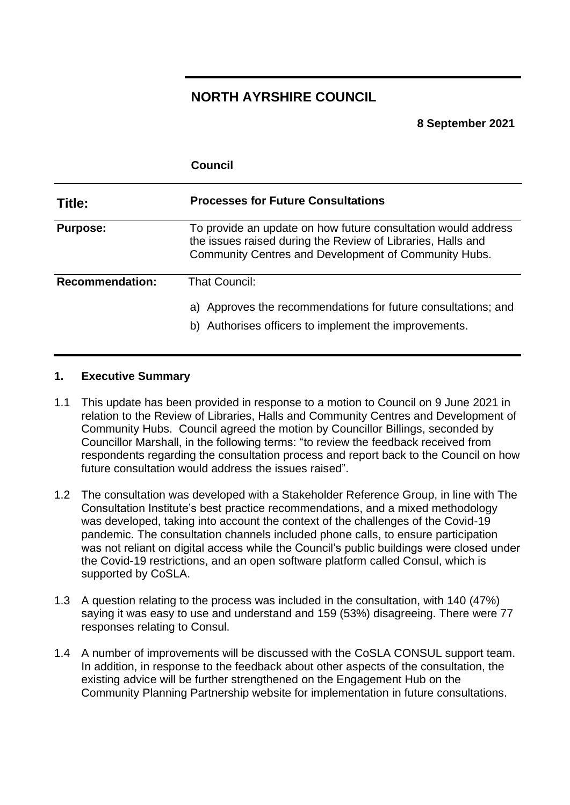# **NORTH AYRSHIRE COUNCIL**

#### **8 September 2021**

|                        | Council                                                                                                                                                                              |
|------------------------|--------------------------------------------------------------------------------------------------------------------------------------------------------------------------------------|
| Title:                 | <b>Processes for Future Consultations</b>                                                                                                                                            |
| <b>Purpose:</b>        | To provide an update on how future consultation would address<br>the issues raised during the Review of Libraries, Halls and<br>Community Centres and Development of Community Hubs. |
| <b>Recommendation:</b> | <b>That Council:</b><br>a) Approves the recommendations for future consultations; and<br>b) Authorises officers to implement the improvements.                                       |

#### **1. Executive Summary**

- 1.1 This update has been provided in response to a motion to Council on 9 June 2021 in relation to the Review of Libraries, Halls and Community Centres and Development of Community Hubs. Council agreed the motion by Councillor Billings, seconded by Councillor Marshall, in the following terms: "to review the feedback received from respondents regarding the consultation process and report back to the Council on how future consultation would address the issues raised".
- 1.2 The consultation was developed with a Stakeholder Reference Group, in line with The Consultation Institute's best practice recommendations, and a mixed methodology was developed, taking into account the context of the challenges of the Covid-19 pandemic. The consultation channels included phone calls, to ensure participation was not reliant on digital access while the Council's public buildings were closed under the Covid-19 restrictions, and an open software platform called Consul, which is supported by CoSLA.
- 1.3 A question relating to the process was included in the consultation, with 140 (47%) saying it was easy to use and understand and 159 (53%) disagreeing. There were 77 responses relating to Consul.
- 1.4 A number of improvements will be discussed with the CoSLA CONSUL support team. In addition, in response to the feedback about other aspects of the consultation, the existing advice will be further strengthened on the Engagement Hub on the Community Planning Partnership website for implementation in future consultations.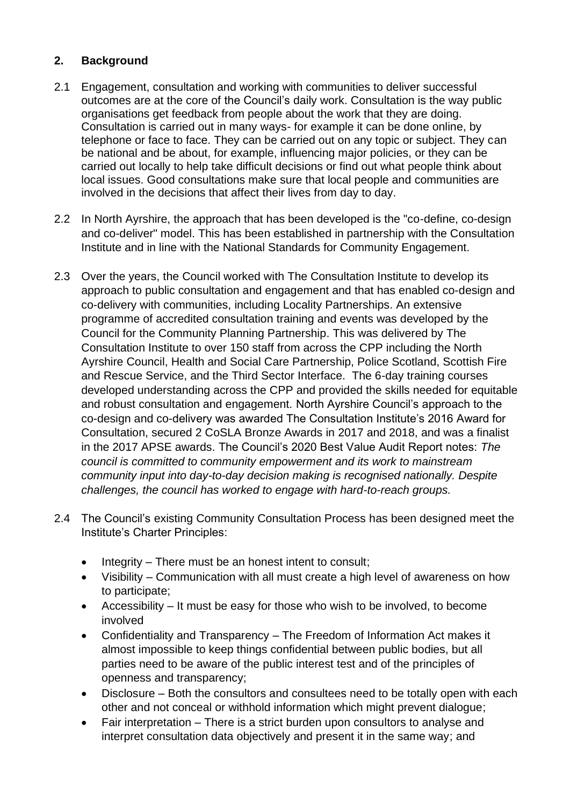### **2. Background**

- 2.1 Engagement, consultation and working with communities to deliver successful outcomes are at the core of the Council's daily work. Consultation is the way public organisations get feedback from people about the work that they are doing. Consultation is carried out in many ways- for example it can be done online, by telephone or face to face. They can be carried out on any topic or subject. They can be national and be about, for example, influencing major policies, or they can be carried out locally to help take difficult decisions or find out what people think about local issues. Good consultations make sure that local people and communities are involved in the decisions that affect their lives from day to day.
- 2.2 In North Ayrshire, the approach that has been developed is the "co-define, co-design and co-deliver" model. This has been established in partnership with the Consultation Institute and in line with the National Standards for Community Engagement.
- 2.3 Over the years, the Council worked with The Consultation Institute to develop its approach to public consultation and engagement and that has enabled co-design and co-delivery with communities, including Locality Partnerships. An extensive programme of accredited consultation training and events was developed by the Council for the Community Planning Partnership. This was delivered by The Consultation Institute to over 150 staff from across the CPP including the North Ayrshire Council, Health and Social Care Partnership, Police Scotland, Scottish Fire and Rescue Service, and the Third Sector Interface. The 6-day training courses developed understanding across the CPP and provided the skills needed for equitable and robust consultation and engagement. North Ayrshire Council's approach to the co-design and co-delivery was awarded The Consultation Institute's 2016 Award for Consultation, secured 2 CoSLA Bronze Awards in 2017 and 2018, and was a finalist in the 2017 APSE awards. The Council's 2020 Best Value Audit Report notes: *The council is committed to community empowerment and its work to mainstream community input into day-to-day decision making is recognised nationally. Despite challenges, the council has worked to engage with hard-to-reach groups.*
- 2.4 The Council's existing Community Consultation Process has been designed meet the Institute's Charter Principles:
	- Integrity There must be an honest intent to consult;
	- Visibility Communication with all must create a high level of awareness on how to participate;
	- Accessibility It must be easy for those who wish to be involved, to become involved
	- Confidentiality and Transparency The Freedom of Information Act makes it almost impossible to keep things confidential between public bodies, but all parties need to be aware of the public interest test and of the principles of openness and transparency;
	- Disclosure Both the consultors and consultees need to be totally open with each other and not conceal or withhold information which might prevent dialogue;
	- Fair interpretation There is a strict burden upon consultors to analyse and interpret consultation data objectively and present it in the same way; and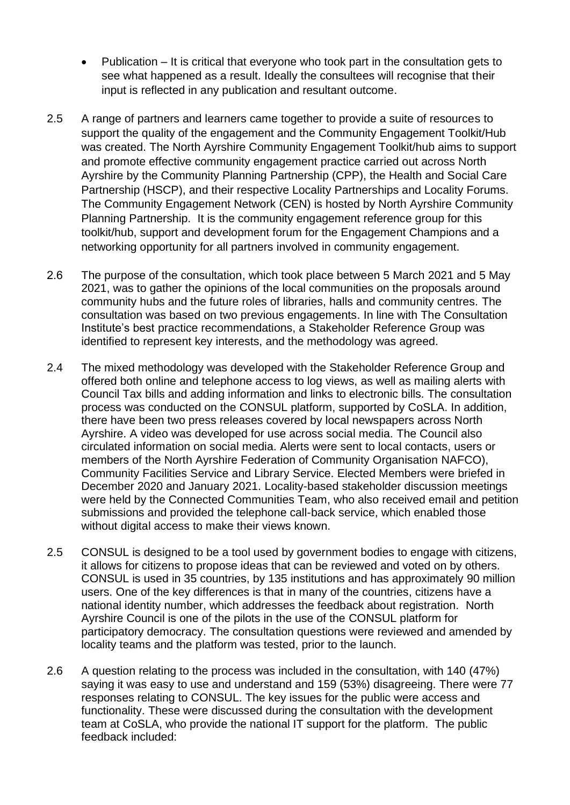- Publication It is critical that everyone who took part in the consultation gets to see what happened as a result. Ideally the consultees will recognise that their input is reflected in any publication and resultant outcome.
- 2.5 A range of partners and learners came together to provide a suite of resources to support the quality of the engagement and the Community Engagement Toolkit/Hub was created. The North Ayrshire Community Engagement Toolkit/hub aims to support and promote effective community engagement practice carried out across North Ayrshire by the Community Planning Partnership (CPP), the Health and Social Care Partnership (HSCP), and their respective Locality Partnerships and Locality Forums. The Community Engagement Network (CEN) is hosted by North Ayrshire Community Planning Partnership. It is the community engagement reference group for this toolkit/hub, support and development forum for the Engagement Champions and a networking opportunity for all partners involved in community engagement.
- 2.6 The purpose of the consultation, which took place between 5 March 2021 and 5 May 2021, was to gather the opinions of the local communities on the proposals around community hubs and the future roles of libraries, halls and community centres. The consultation was based on two previous engagements. In line with The Consultation Institute's best practice recommendations, a Stakeholder Reference Group was identified to represent key interests, and the methodology was agreed.
- 2.4 The mixed methodology was developed with the Stakeholder Reference Group and offered both online and telephone access to log views, as well as mailing alerts with Council Tax bills and adding information and links to electronic bills. The consultation process was conducted on the CONSUL platform, supported by CoSLA. In addition, there have been two press releases covered by local newspapers across North Ayrshire. A video was developed for use across social media. The Council also circulated information on social media. Alerts were sent to local contacts, users or members of the North Ayrshire Federation of Community Organisation NAFCO), Community Facilities Service and Library Service. Elected Members were briefed in December 2020 and January 2021. Locality-based stakeholder discussion meetings were held by the Connected Communities Team, who also received email and petition submissions and provided the telephone call-back service, which enabled those without digital access to make their views known.
- 2.5 CONSUL is designed to be a tool used by government bodies to engage with citizens, it allows for citizens to propose ideas that can be reviewed and voted on by others. CONSUL is used in 35 countries, by 135 institutions and has approximately 90 million users. One of the key differences is that in many of the countries, citizens have a national identity number, which addresses the feedback about registration. North Ayrshire Council is one of the pilots in the use of the CONSUL platform for participatory democracy. The consultation questions were reviewed and amended by locality teams and the platform was tested, prior to the launch.
- 2.6 A question relating to the process was included in the consultation, with 140 (47%) saying it was easy to use and understand and 159 (53%) disagreeing. There were 77 responses relating to CONSUL. The key issues for the public were access and functionality. These were discussed during the consultation with the development team at CoSLA, who provide the national IT support for the platform. The public feedback included: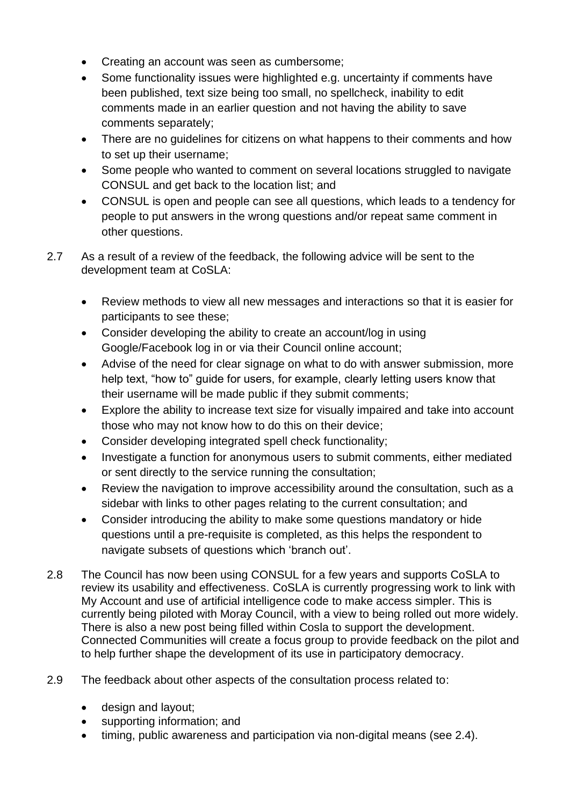- Creating an account was seen as cumbersome;
- Some functionality issues were highlighted e.g. uncertainty if comments have been published, text size being too small, no spellcheck, inability to edit comments made in an earlier question and not having the ability to save comments separately;
- There are no guidelines for citizens on what happens to their comments and how to set up their username;
- Some people who wanted to comment on several locations struggled to navigate CONSUL and get back to the location list; and
- CONSUL is open and people can see all questions, which leads to a tendency for people to put answers in the wrong questions and/or repeat same comment in other questions.
- 2.7 As a result of a review of the feedback, the following advice will be sent to the development team at CoSLA:
	- Review methods to view all new messages and interactions so that it is easier for participants to see these;
	- Consider developing the ability to create an account/log in using Google/Facebook log in or via their Council online account;
	- Advise of the need for clear signage on what to do with answer submission, more help text, "how to" guide for users, for example, clearly letting users know that their username will be made public if they submit comments;
	- Explore the ability to increase text size for visually impaired and take into account those who may not know how to do this on their device;
	- Consider developing integrated spell check functionality;
	- Investigate a function for anonymous users to submit comments, either mediated or sent directly to the service running the consultation;
	- Review the navigation to improve accessibility around the consultation, such as a sidebar with links to other pages relating to the current consultation; and
	- Consider introducing the ability to make some questions mandatory or hide questions until a pre-requisite is completed, as this helps the respondent to navigate subsets of questions which 'branch out'.
- 2.8 The Council has now been using CONSUL for a few years and supports CoSLA to review its usability and effectiveness. CoSLA is currently progressing work to link with My Account and use of artificial intelligence code to make access simpler. This is currently being piloted with Moray Council, with a view to being rolled out more widely. There is also a new post being filled within Cosla to support the development. Connected Communities will create a focus group to provide feedback on the pilot and to help further shape the development of its use in participatory democracy.
- 2.9 The feedback about other aspects of the consultation process related to:
	- design and layout;
	- supporting information; and
	- timing, public awareness and participation via non-digital means (see 2.4).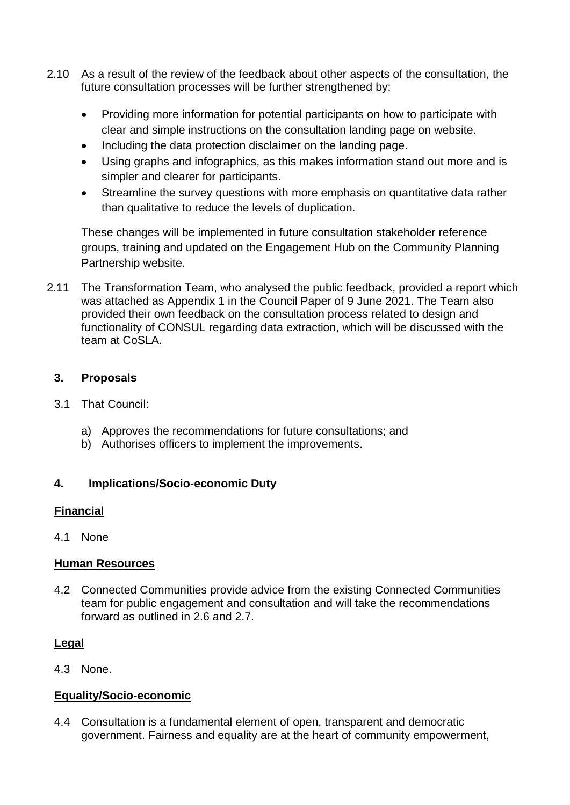- 2.10 As a result of the review of the feedback about other aspects of the consultation, the future consultation processes will be further strengthened by:
	- Providing more information for potential participants on how to participate with clear and simple instructions on the consultation landing page on website.
	- Including the data protection disclaimer on the landing page.
	- Using graphs and infographics, as this makes information stand out more and is simpler and clearer for participants.
	- Streamline the survey questions with more emphasis on quantitative data rather than qualitative to reduce the levels of duplication.

These changes will be implemented in future consultation stakeholder reference groups, training and updated on the Engagement Hub on the Community Planning Partnership website.

2.11 The Transformation Team, who analysed the public feedback, provided a report which was attached as Appendix 1 in the Council Paper of 9 June 2021. The Team also provided their own feedback on the consultation process related to design and functionality of CONSUL regarding data extraction, which will be discussed with the team at CoSLA.

### **3. Proposals**

- 3.1 That Council:
	- a) Approves the recommendations for future consultations; and
	- b) Authorises officers to implement the improvements.

### **4. Implications/Socio-economic Duty**

### **Financial**

4.1 None

### **Human Resources**

4.2 Connected Communities provide advice from the existing Connected Communities team for public engagement and consultation and will take the recommendations forward as outlined in 2.6 and 2.7.

## **Legal**

4.3 None.

## **Equality/Socio-economic**

4.4 Consultation is a fundamental element of open, transparent and democratic government. Fairness and equality are at the heart of community empowerment,